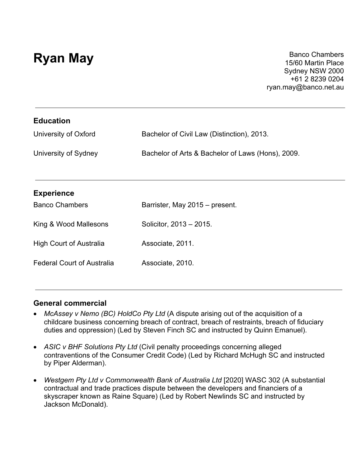**Ryan May** Banco Chambers **Ryan May** 15/60 Martin Place Sydney NSW 2000 +61 2 8239 0204 ryan.may@banco.net.au

| <b>Education</b>                  |                                                   |
|-----------------------------------|---------------------------------------------------|
| University of Oxford              | Bachelor of Civil Law (Distinction), 2013.        |
| University of Sydney              | Bachelor of Arts & Bachelor of Laws (Hons), 2009. |
| <b>Experience</b>                 |                                                   |
| <b>Banco Chambers</b>             | Barrister, May 2015 - present.                    |
| King & Wood Mallesons             | Solicitor, 2013 - 2015.                           |
| <b>High Court of Australia</b>    | Associate, 2011.                                  |
| <b>Federal Court of Australia</b> | Associate, 2010.                                  |
|                                   |                                                   |

#### **General commercial**

- *McAssey v Nemo (BC) HoldCo Pty Ltd* (A dispute arising out of the acquisition of a childcare business concerning breach of contract, breach of restraints, breach of fiduciary duties and oppression) (Led by Steven Finch SC and instructed by Quinn Emanuel).
- *ASIC v BHF Solutions Pty Ltd* (Civil penalty proceedings concerning alleged contraventions of the Consumer Credit Code) (Led by Richard McHugh SC and instructed by Piper Alderman).
- *Westgem Pty Ltd v Commonwealth Bank of Australia Ltd* [2020] WASC 302 (A substantial contractual and trade practices dispute between the developers and financiers of a skyscraper known as Raine Square) (Led by Robert Newlinds SC and instructed by Jackson McDonald).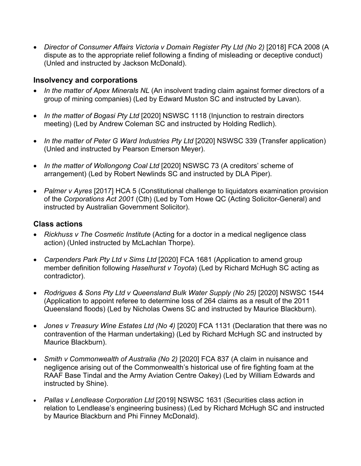• *Director of Consumer Affairs Victoria v Domain Register Pty Ltd (No 2)* [2018] FCA 2008 (A dispute as to the appropriate relief following a finding of misleading or deceptive conduct) (Unled and instructed by Jackson McDonald).

## **Insolvency and corporations**

- *In the matter of Apex Minerals NL* (An insolvent trading claim against former directors of a group of mining companies) (Led by Edward Muston SC and instructed by Lavan).
- *In the matter of Bogasi Pty Ltd* [2020] NSWSC 1118 (Injunction to restrain directors meeting) (Led by Andrew Coleman SC and instructed by Holding Redlich).
- In the matter of Peter G Ward Industries Pty Ltd [2020] NSWSC 339 (Transfer application) (Unled and instructed by Pearson Emerson Meyer).
- *In the matter of Wollongong Coal Ltd* [2020] NSWSC 73 (A creditors' scheme of arrangement) (Led by Robert Newlinds SC and instructed by DLA Piper).
- *Palmer v Ayres* [2017] HCA 5 (Constitutional challenge to liquidators examination provision of the *Corporations Act 2001* (Cth) (Led by Tom Howe QC (Acting Solicitor-General) and instructed by Australian Government Solicitor).

### **Class actions**

- *Rickhuss v The Cosmetic Institute* (Acting for a doctor in a medical negligence class action) (Unled instructed by McLachlan Thorpe).
- *Carpenders Park Pty Ltd v Sims Ltd* [2020] FCA 1681 (Application to amend group member definition following *Haselhurst v Toyota*) (Led by Richard McHugh SC acting as contradictor).
- *Rodrigues & Sons Pty Ltd v Queensland Bulk Water Supply (No 25)* [2020] NSWSC 1544 (Application to appoint referee to determine loss of 264 claims as a result of the 2011 Queensland floods) (Led by Nicholas Owens SC and instructed by Maurice Blackburn).
- Jones v Treasury Wine Estates Ltd (No 4) [2020] FCA 1131 (Declaration that there was no contravention of the Harman undertaking) (Led by Richard McHugh SC and instructed by Maurice Blackburn).
- *Smith v Commonwealth of Australia (No 2)* [2020] FCA 837 (A claim in nuisance and negligence arising out of the Commonwealth's historical use of fire fighting foam at the RAAF Base Tindal and the Army Aviation Centre Oakey) (Led by William Edwards and instructed by Shine).
- *Pallas v Lendlease Corporation Ltd* [2019] NSWSC 1631 (Securities class action in relation to Lendlease's engineering business) (Led by Richard McHugh SC and instructed by Maurice Blackburn and Phi Finney McDonald).